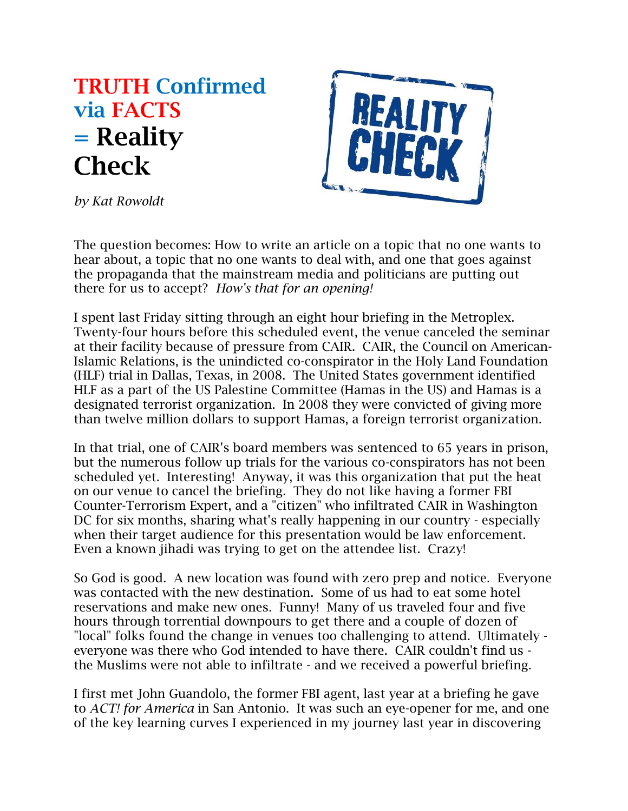## **TRUTH Confirmed via FACTS = Reality Check**



*by Kat Rowoldt*

The question becomes: How to write an article on a topic that no one wants to hear about, a topic that no one wants to deal with, and one that goes against the propaganda that the mainstream media and politicians are putting out there for us to accept? *How's that for an opening!*

I spent last Friday sitting through an eight hour briefing in the Metroplex. Twenty-four hours before this scheduled event, the venue canceled the seminar at their facility because of pressure from CAIR. CAIR, the Council on American-Islamic Relations, is the unindicted co-conspirator in the Holy Land Foundation (HLF) trial in Dallas, Texas, in 2008. The United States government identified HLF as a part of the US Palestine Committee (Hamas in the US) and Hamas is a designated terrorist organization. In 2008 they were convicted of giving more than twelve million dollars to support Hamas, a foreign terrorist organization.

In that trial, one of CAIR's board members was sentenced to 65 years in prison, but the numerous follow up trials for the various co-conspirators has not been scheduled yet. Interesting! Anyway, it was this organization that put the heat on our venue to cancel the briefing. They do not like having a former FBI Counter-Terrorism Expert, and a "citizen" who infiltrated CAIR in Washington DC for six months, sharing what's really happening in our country - especially when their target audience for this presentation would be law enforcement. Even a known jihadi was trying to get on the attendee list. Crazy!

So God is good. A new location was found with zero prep and notice. Everyone was contacted with the new destination. Some of us had to eat some hotel reservations and make new ones. Funny! Many of us traveled four and five hours through torrential downpours to get there and a couple of dozen of "local" folks found the change in venues too challenging to attend. Ultimately everyone was there who God intended to have there. CAIR couldn't find us the Muslims were not able to infiltrate - and we received a powerful briefing.

I first met John Guandolo, the former FBI agent, last year at a briefing he gave to *ACT! for America* in San Antonio. It was such an eye-opener for me, and one of the key learning curves I experienced in my journey last year in discovering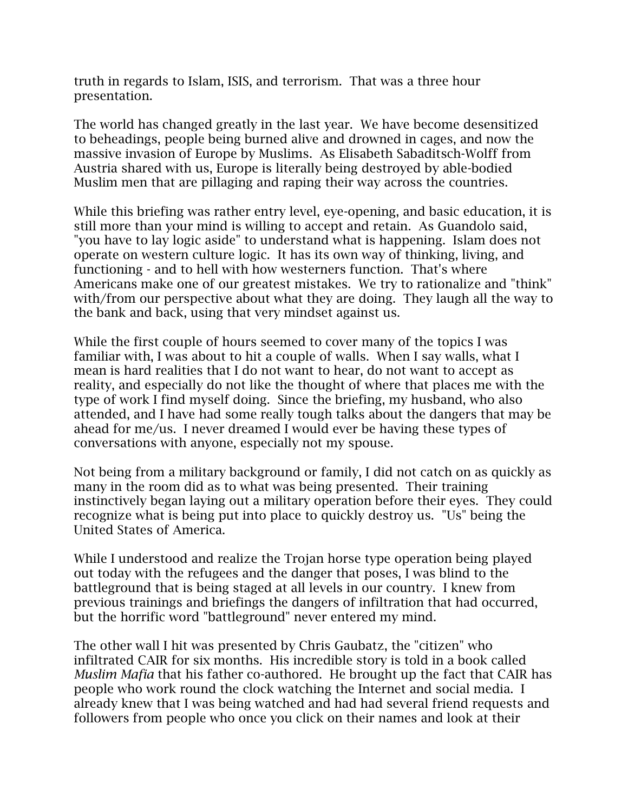truth in regards to Islam, ISIS, and terrorism. That was a three hour presentation.

The world has changed greatly in the last year. We have become desensitized to beheadings, people being burned alive and drowned in cages, and now the massive invasion of Europe by Muslims. As Elisabeth Sabaditsch-Wolff from Austria shared with us, Europe is literally being destroyed by able-bodied Muslim men that are pillaging and raping their way across the countries.

While this briefing was rather entry level, eye-opening, and basic education, it is still more than your mind is willing to accept and retain. As Guandolo said, "you have to lay logic aside" to understand what is happening. Islam does not operate on western culture logic. It has its own way of thinking, living, and functioning - and to hell with how westerners function. That's where Americans make one of our greatest mistakes. We try to rationalize and "think" with/from our perspective about what they are doing. They laugh all the way to the bank and back, using that very mindset against us.

While the first couple of hours seemed to cover many of the topics I was familiar with, I was about to hit a couple of walls. When I say walls, what I mean is hard realities that I do not want to hear, do not want to accept as reality, and especially do not like the thought of where that places me with the type of work I find myself doing. Since the briefing, my husband, who also attended, and I have had some really tough talks about the dangers that may be ahead for me/us. I never dreamed I would ever be having these types of conversations with anyone, especially not my spouse.

Not being from a military background or family, I did not catch on as quickly as many in the room did as to what was being presented. Their training instinctively began laying out a military operation before their eyes. They could recognize what is being put into place to quickly destroy us. "Us" being the United States of America.

While I understood and realize the Trojan horse type operation being played out today with the refugees and the danger that poses, I was blind to the battleground that is being staged at all levels in our country. I knew from previous trainings and briefings the dangers of infiltration that had occurred, but the horrific word "battleground" never entered my mind.

The other wall I hit was presented by Chris Gaubatz, the "citizen" who infiltrated CAIR for six months. His incredible story is told in a book called *Muslim Mafia* that his father co-authored. He brought up the fact that CAIR has people who work round the clock watching the Internet and social media. I already knew that I was being watched and had had several friend requests and followers from people who once you click on their names and look at their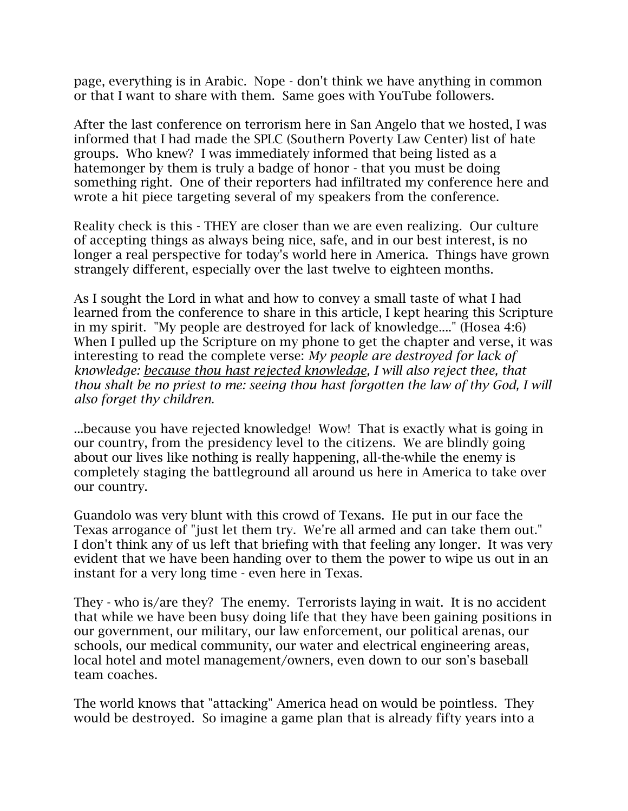page, everything is in Arabic. Nope - don't think we have anything in common or that I want to share with them. Same goes with YouTube followers.

After the last conference on terrorism here in San Angelo that we hosted, I was informed that I had made the SPLC (Southern Poverty Law Center) list of hate groups. Who knew? I was immediately informed that being listed as a hatemonger by them is truly a badge of honor - that you must be doing something right. One of their reporters had infiltrated my conference here and wrote a hit piece targeting several of my speakers from the conference.

Reality check is this - THEY are closer than we are even realizing. Our culture of accepting things as always being nice, safe, and in our best interest, is no longer a real perspective for today's world here in America. Things have grown strangely different, especially over the last twelve to eighteen months.

As I sought the Lord in what and how to convey a small taste of what I had learned from the conference to share in this article, I kept hearing this Scripture in my spirit. "My people are destroyed for lack of knowledge...." (Hosea 4:6) When I pulled up the Scripture on my phone to get the chapter and verse, it was interesting to read the complete verse: *My people are destroyed for lack of knowledge: because thou hast rejected knowledge, I will also reject thee, that thou shalt be no priest to me: seeing thou hast forgotten the law of thy God, I will also forget thy children.*

...because you have rejected knowledge! Wow! That is exactly what is going in our country, from the presidency level to the citizens. We are blindly going about our lives like nothing is really happening, all-the-while the enemy is completely staging the battleground all around us here in America to take over our country.

Guandolo was very blunt with this crowd of Texans. He put in our face the Texas arrogance of "just let them try. We're all armed and can take them out." I don't think any of us left that briefing with that feeling any longer. It was very evident that we have been handing over to them the power to wipe us out in an instant for a very long time - even here in Texas.

They - who is/are they? The enemy. Terrorists laying in wait. It is no accident that while we have been busy doing life that they have been gaining positions in our government, our military, our law enforcement, our political arenas, our schools, our medical community, our water and electrical engineering areas, local hotel and motel management/owners, even down to our son's baseball team coaches.

The world knows that "attacking" America head on would be pointless. They would be destroyed. So imagine a game plan that is already fifty years into a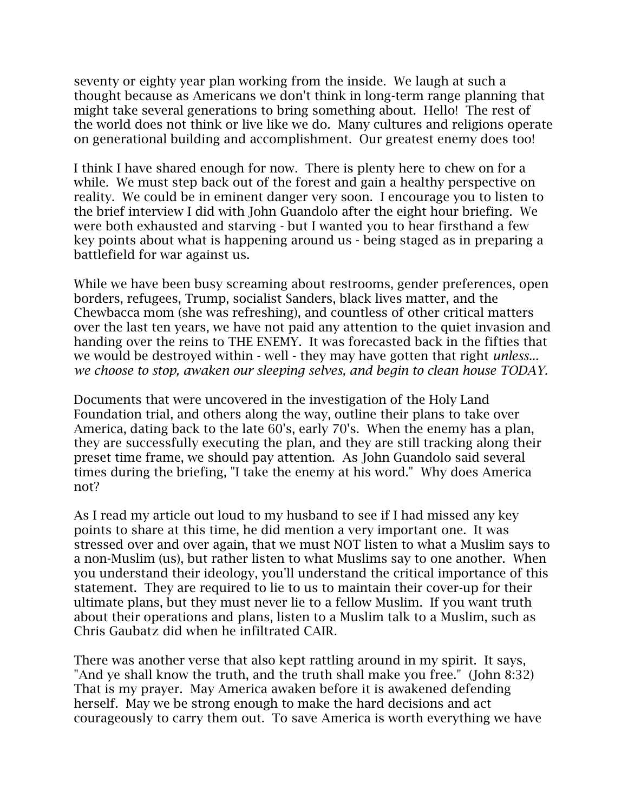seventy or eighty year plan working from the inside. We laugh at such a thought because as Americans we don't think in long-term range planning that might take several generations to bring something about. Hello! The rest of the world does not think or live like we do. Many cultures and religions operate on generational building and accomplishment. Our greatest enemy does too!

I think I have shared enough for now. There is plenty here to chew on for a while. We must step back out of the forest and gain a healthy perspective on reality. We could be in eminent danger very soon. I encourage you to listen to the brief interview I did with John Guandolo after the eight hour briefing. We were both exhausted and starving - but I wanted you to hear firsthand a few key points about what is happening around us - being staged as in preparing a battlefield for war against us.

While we have been busy screaming about restrooms, gender preferences, open borders, refugees, Trump, socialist Sanders, black lives matter, and the Chewbacca mom (she was refreshing), and countless of other critical matters over the last ten years, we have not paid any attention to the quiet invasion and handing over the reins to THE ENEMY. It was forecasted back in the fifties that we would be destroyed within - well - they may have gotten that right *unless... we choose to stop, awaken our sleeping selves, and begin to clean house TODAY.*

Documents that were uncovered in the investigation of the Holy Land Foundation trial, and others along the way, outline their plans to take over America, dating back to the late 60's, early 70's. When the enemy has a plan, they are successfully executing the plan, and they are still tracking along their preset time frame, we should pay attention. As John Guandolo said several times during the briefing, "I take the enemy at his word." Why does America not?

As I read my article out loud to my husband to see if I had missed any key points to share at this time, he did mention a very important one. It was stressed over and over again, that we must NOT listen to what a Muslim says to a non-Muslim (us), but rather listen to what Muslims say to one another. When you understand their ideology, you'll understand the critical importance of this statement. They are required to lie to us to maintain their cover-up for their ultimate plans, but they must never lie to a fellow Muslim. If you want truth about their operations and plans, listen to a Muslim talk to a Muslim, such as Chris Gaubatz did when he infiltrated CAIR.

There was another verse that also kept rattling around in my spirit. It says, "And ye shall know the truth, and the truth shall make you free." (John 8:32) That is my prayer. May America awaken before it is awakened defending herself. May we be strong enough to make the hard decisions and act courageously to carry them out. To save America is worth everything we have